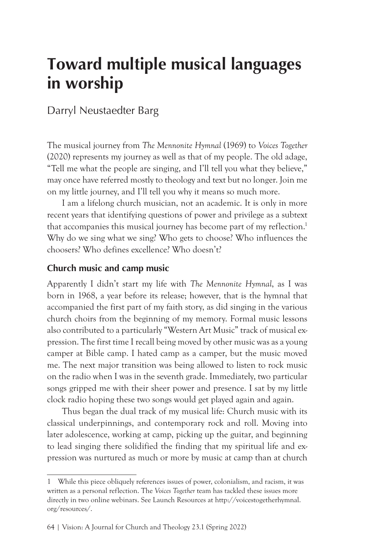# **Toward multiple musical languages in worship**

Darryl Neustaedter Barg

The musical journey from *The Mennonite Hymnal* (1969) to *Voices Together* (2020) represents my journey as well as that of my people. The old adage, "Tell me what the people are singing, and I'll tell you what they believe," may once have referred mostly to theology and text but no longer. Join me on my little journey, and I'll tell you why it means so much more.

I am a lifelong church musician, not an academic. It is only in more recent years that identifying questions of power and privilege as a subtext that accompanies this musical journey has become part of my reflection.<sup>1</sup> Why do we sing what we sing? Who gets to choose? Who influences the choosers? Who defines excellence? Who doesn't?

## **Church music and camp music**

Apparently I didn't start my life with *The Mennonite Hymnal*, as I was born in 1968, a year before its release; however, that is the hymnal that accompanied the first part of my faith story, as did singing in the various church choirs from the beginning of my memory. Formal music lessons also contributed to a particularly "Western Art Music" track of musical expression. The first time I recall being moved by other music was as a young camper at Bible camp. I hated camp as a camper, but the music moved me. The next major transition was being allowed to listen to rock music on the radio when I was in the seventh grade. Immediately, two particular songs gripped me with their sheer power and presence. I sat by my little clock radio hoping these two songs would get played again and again.

Thus began the dual track of my musical life: Church music with its classical underpinnings, and contemporary rock and roll. Moving into later adolescence, working at camp, picking up the guitar, and beginning to lead singing there solidified the finding that my spiritual life and expression was nurtured as much or more by music at camp than at church

<sup>1</sup> While this piece obliquely references issues of power, colonialism, and racism, it was written as a personal reflection. The *Voices Together* team has tackled these issues more directly in two online webinars. See Launch Resources at http://voicestogetherhymnal. org/resources/.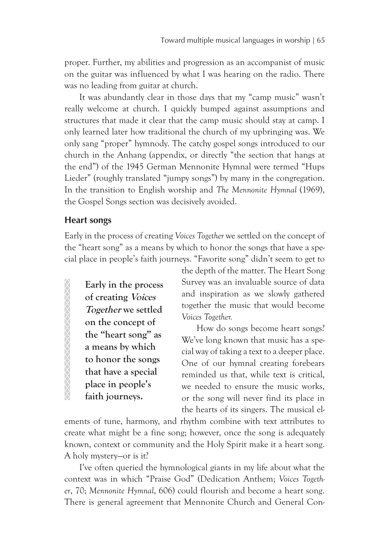proper. Further, my abilities and progression as an accompanist of music on the guitar was influenced by what I was hearing on the radio. There was no leading from guitar at church.

It was abundantly clear in those days that my "camp music" wasn't really welcome at church. I quickly bumped against assumptions and structures that made it clear that the camp music should stay at camp. I only learned later how traditional the church of my upbringing was. We only sang "proper" hymnody. The catchy gospel songs introduced to our church in the Anhang (appendix, or directly "the section that hangs at the end") of the 1945 German Mennonite Hymnal were termed "Hups Lieder" (roughly translated "jumpy songs") by many in the congregation. In the transition to English worship and *The Mennonite Hymnal* (1969), the Gospel Songs section was decisively avoided.

### **Heart songs**

**ANNANNANNANNANNAN** 

Early in the process of creating *Voices Together* we settled on the concept of the "heart song" as a means by which to honor the songs that have a special place in people's faith journeys. "Favorite song" didn't seem to get to

**Early in the process of creating Voices Together we settled on the concept of the "heart song" as a means by which to honor the songs that have a special place in people's faith journeys.**

the depth of the matter. The Heart Song Survey was an invaluable source of data and inspiration as we slowly gathered together the music that would become *Voices Together.*

How do songs become heart songs? We've long known that music has a special way of taking a text to a deeper place. One of our hymnal creating forebears reminded us that, while text is critical, we needed to ensure the music works, or the song will never find its place in the hearts of its singers. The musical el-

ements of tune, harmony, and rhythm combine with text attributes to create what might be a fine song; however, once the song is adequately known, context or community and the Holy Spirit make it a heart song. A holy mystery—or is it?

I've often queried the hymnological giants in my life about what the context was in which "Praise God" (Dedication Anthem; *Voices Together*, 70; *Mennonite Hymnal*, 606) could flourish and become a heart song. There is general agreement that Mennonite Church and General Con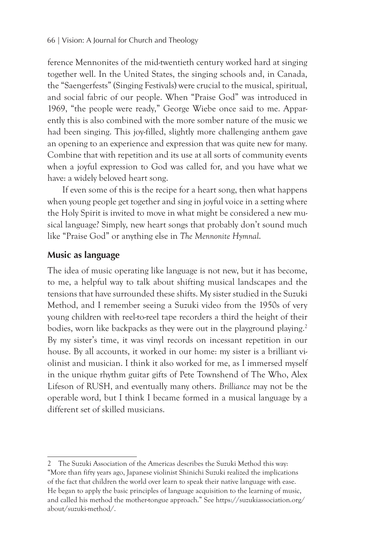ference Mennonites of the mid-twentieth century worked hard at singing together well. In the United States, the singing schools and, in Canada, the "Saengerfests" (Singing Festivals) were crucial to the musical, spiritual, and social fabric of our people. When "Praise God" was introduced in 1969, "the people were ready," George Wiebe once said to me. Apparently this is also combined with the more somber nature of the music we had been singing. This joy-filled, slightly more challenging anthem gave an opening to an experience and expression that was quite new for many. Combine that with repetition and its use at all sorts of community events when a joyful expression to God was called for, and you have what we have: a widely beloved heart song.

If even some of this is the recipe for a heart song, then what happens when young people get together and sing in joyful voice in a setting where the Holy Spirit is invited to move in what might be considered a new musical language? Simply, new heart songs that probably don't sound much like "Praise God" or anything else in *The Mennonite Hymnal*.

## **Music as language**

The idea of music operating like language is not new, but it has become, to me, a helpful way to talk about shifting musical landscapes and the tensions that have surrounded these shifts. My sister studied in the Suzuki Method, and I remember seeing a Suzuki video from the 1950s of very young children with reel-to-reel tape recorders a third the height of their bodies, worn like backpacks as they were out in the playground playing.<sup>2</sup> By my sister's time, it was vinyl records on incessant repetition in our house. By all accounts, it worked in our home: my sister is a brilliant violinist and musician. I think it also worked for me, as I immersed myself in the unique rhythm guitar gifts of Pete Townshend of The Who, Alex Lifeson of RUSH, and eventually many others. *Brilliance* may not be the operable word, but I think I became formed in a musical language by a different set of skilled musicians.

<sup>2</sup> The Suzuki Association of the Americas describes the Suzuki Method this way: "More than fifty years ago, Japanese violinist Shinichi Suzuki realized the implications of the fact that children the world over learn to speak their native language with ease. He began to apply the basic principles of language acquisition to the learning of music, and called his method the mother-tongue approach." See https://suzukiassociation.org/ about/suzuki-method/.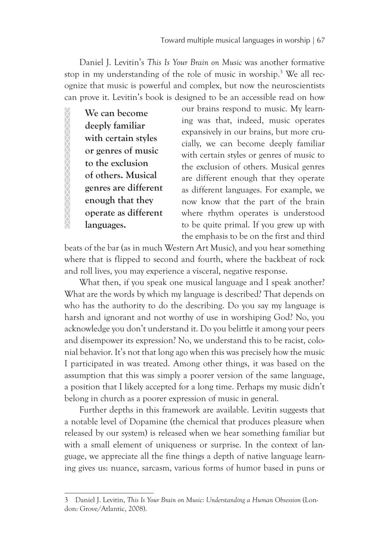Daniel J. Levitin's *This Is Your Brain on Music* was another formative stop in my understanding of the role of music in worship.<sup>3</sup> We all recognize that music is powerful and complex, but now the neuroscientists can prove it. Levitin's book is designed to be an accessible read on how

**We can become deeply familiar with certain styles or genres of music to the exclusion of others. Musical genres are different enough that they operate as different languages.** 

XXXXXXXXXXXXXXXXX

our brains respond to music. My learning was that, indeed, music operates expansively in our brains, but more crucially, we can become deeply familiar with certain styles or genres of music to the exclusion of others. Musical genres are different enough that they operate as different languages. For example, we now know that the part of the brain where rhythm operates is understood to be quite primal. If you grew up with the emphasis to be on the first and third

beats of the bar (as in much Western Art Music), and you hear something where that is flipped to second and fourth, where the backbeat of rock and roll lives, you may experience a visceral, negative response.

What then, if you speak one musical language and I speak another? What are the words by which my language is described? That depends on who has the authority to do the describing. Do you say my language is harsh and ignorant and not worthy of use in worshiping God? No, you acknowledge you don't understand it. Do you belittle it among your peers and disempower its expression? No, we understand this to be racist, colonial behavior. It's not that long ago when this was precisely how the music I participated in was treated. Among other things, it was based on the assumption that this was simply a poorer version of the same language, a position that I likely accepted for a long time. Perhaps my music didn't belong in church as a poorer expression of music in general.

Further depths in this framework are available. Levitin suggests that a notable level of Dopamine (the chemical that produces pleasure when released by our system) is released when we hear something familiar but with a small element of uniqueness or surprise. In the context of language, we appreciate all the fine things a depth of native language learning gives us: nuance, sarcasm, various forms of humor based in puns or

<sup>3</sup> Daniel J. Levitin, *This Is Your Brain on Music: Understanding a Human Obsession* (London: Grove/Atlantic, 2008).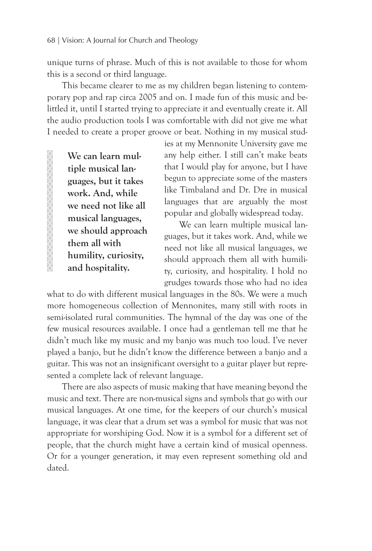unique turns of phrase. Much of this is not available to those for whom this is a second or third language.

This became clearer to me as my children began listening to contemporary pop and rap circa 2005 and on. I made fun of this music and belittled it, until I started trying to appreciate it and eventually create it. All the audio production tools I was comfortable with did not give me what I needed to create a proper groove or beat. Nothing in my musical stud-

**We can learn multiple musical languages, but it takes work. And, while we need not like all musical languages, we should approach them all with humility, curiosity, and hospitality.** 

ies at my Mennonite University gave me any help either. I still can't make beats that I would play for anyone, but I have begun to appreciate some of the masters like Timbaland and Dr. Dre in musical languages that are arguably the most popular and globally widespread today.

We can learn multiple musical languages, but it takes work. And, while we need not like all musical languages, we should approach them all with humility, curiosity, and hospitality. I hold no grudges towards those who had no idea

what to do with different musical languages in the 80s. We were a much more homogeneous collection of Mennonites, many still with roots in semi-isolated rural communities. The hymnal of the day was one of the few musical resources available. I once had a gentleman tell me that he didn't much like my music and my banjo was much too loud. I've never played a banjo, but he didn't know the difference between a banjo and a guitar. This was not an insignificant oversight to a guitar player but represented a complete lack of relevant language.

There are also aspects of music making that have meaning beyond the music and text. There are non-musical signs and symbols that go with our musical languages. At one time, for the keepers of our church's musical language, it was clear that a drum set was a symbol for music that was not appropriate for worshiping God. Now it is a symbol for a different set of people, that the church might have a certain kind of musical openness. Or for a younger generation, it may even represent something old and dated.